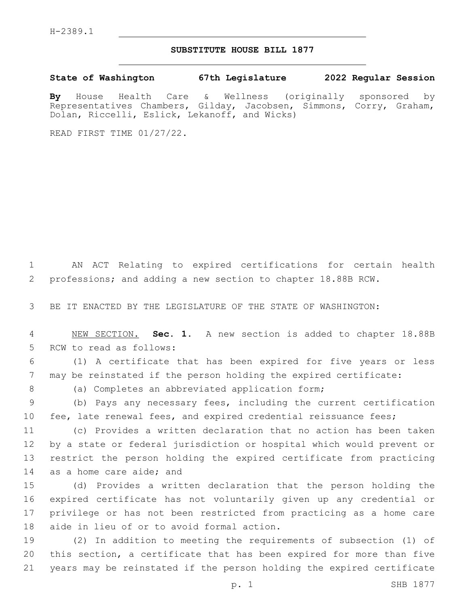## **SUBSTITUTE HOUSE BILL 1877**

**State of Washington 67th Legislature 2022 Regular Session**

**By** House Health Care & Wellness (originally sponsored by Representatives Chambers, Gilday, Jacobsen, Simmons, Corry, Graham, Dolan, Riccelli, Eslick, Lekanoff, and Wicks)

READ FIRST TIME 01/27/22.

1 AN ACT Relating to expired certifications for certain health 2 professions; and adding a new section to chapter 18.88B RCW.

3 BE IT ENACTED BY THE LEGISLATURE OF THE STATE OF WASHINGTON:

4 NEW SECTION. **Sec. 1.** A new section is added to chapter 18.88B 5 RCW to read as follows:

6 (1) A certificate that has been expired for five years or less 7 may be reinstated if the person holding the expired certificate:

8 (a) Completes an abbreviated application form;

9 (b) Pays any necessary fees, including the current certification 10 fee, late renewal fees, and expired credential reissuance fees;

 (c) Provides a written declaration that no action has been taken by a state or federal jurisdiction or hospital which would prevent or restrict the person holding the expired certificate from practicing 14 as a home care aide; and

 (d) Provides a written declaration that the person holding the expired certificate has not voluntarily given up any credential or privilege or has not been restricted from practicing as a home care 18 aide in lieu of or to avoid formal action.

19 (2) In addition to meeting the requirements of subsection (1) of 20 this section, a certificate that has been expired for more than five 21 years may be reinstated if the person holding the expired certificate